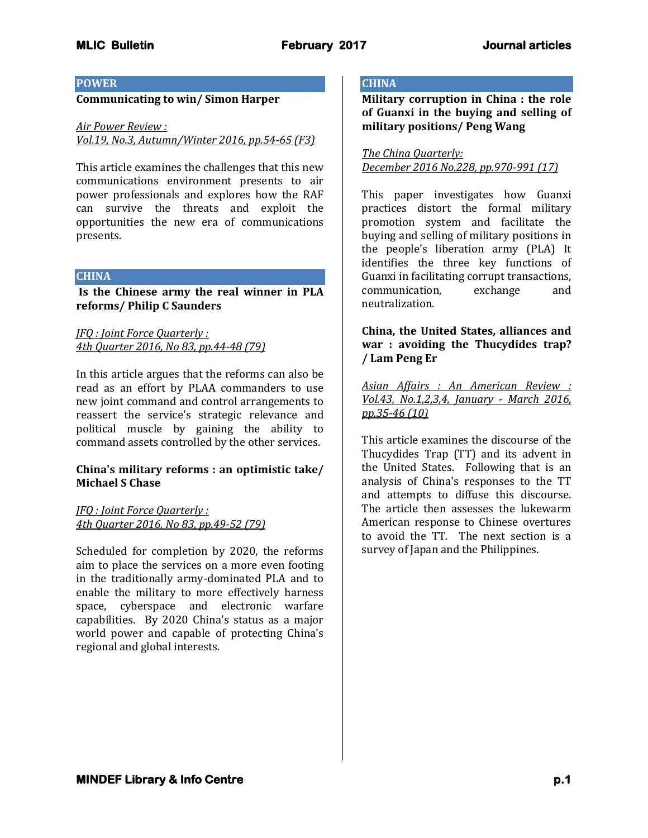## **POWER**

## **Communicating to win/ Simon Harper**

#### *Air Power Review :*

*Vol.19, No.3, Autumn/Winter 2016, pp.54-65 (F3)*

This article examines the challenges that this new communications environment presents to air power professionals and explores how the RAF can survive the threats and exploit the opportunities the new era of communications presents.

#### **CHINA**

**Is the Chinese army the real winner in PLA reforms/ Philip C Saunders**

*JFQ : Joint Force Quarterly : 4th Quarter 2016, No 83, pp.44-48 (79)*

In this article argues that the reforms can also be read as an effort by PLAA commanders to use new joint command and control arrangements to reassert the service's strategic relevance and political muscle by gaining the ability to command assets controlled by the other services.

### **China's military reforms : an optimistic take/ Michael S Chase**

*JFQ : Joint Force Quarterly : 4th Quarter 2016, No 83, pp.49-52 (79)*

Scheduled for completion by 2020, the reforms aim to place the services on a more even footing in the traditionally army-dominated PLA and to enable the military to more effectively harness space, cyberspace and electronic warfare capabilities. By 2020 China's status as a major world power and capable of protecting China's regional and global interests.

# **CHINA**

**Military corruption in China : the role of Guanxi in the buying and selling of military positions/ Peng Wang**

*The China Quarterly: December 2016 No.228, pp.970-991 (17)*

This paper investigates how Guanxi practices distort the formal military promotion system and facilitate the buying and selling of military positions in the people's liberation army (PLA) It identifies the three key functions of Guanxi in facilitating corrupt transactions, communication, exchange and neutralization.

**China, the United States, alliances and war : avoiding the Thucydides trap? / Lam Peng Er**

*Asian Affairs : An American Review : Vol.43, No.1,2,3,4, January - March 2016, pp.35-46 (10)*

This article examines the discourse of the Thucydides Trap (TT) and its advent in the United States. Following that is an analysis of China's responses to the TT and attempts to diffuse this discourse. The article then assesses the lukewarm American response to Chinese overtures to avoid the TT. The next section is a survey of Japan and the Philippines.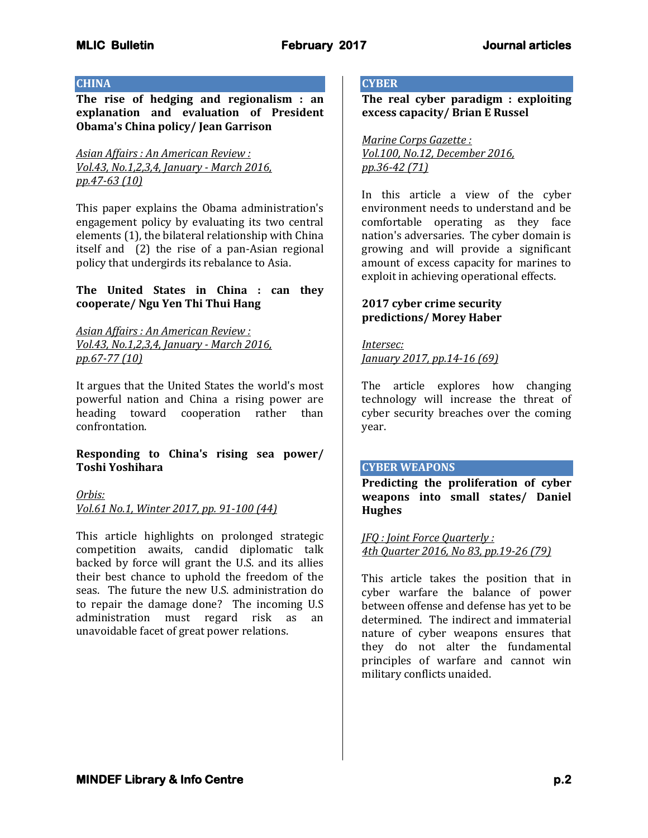## **CHINA**

**The rise of hedging and regionalism : an explanation and evaluation of President Obama's China policy/ Jean Garrison**

## *Asian Affairs : An American Review : Vol.43, No.1,2,3,4, January - March 2016, pp.47-63 (10)*

This paper explains the Obama administration's engagement policy by evaluating its two central elements (1), the bilateral relationship with China itself and (2) the rise of a pan-Asian regional policy that undergirds its rebalance to Asia.

## **The United States in China : can they cooperate/ Ngu Yen Thi Thui Hang**

*Asian Affairs : An American Review : Vol.43, No.1,2,3,4, January - March 2016, pp.67-77 (10)*

It argues that the United States the world's most powerful nation and China a rising power are heading toward cooperation rather than confrontation.

## **Responding to China's rising sea power/ Toshi Yoshihara**

### *Orbis:*

*Vol.61 No.1, Winter 2017, pp. 91-100 (44)*

This article highlights on prolonged strategic competition awaits, candid diplomatic talk backed by force will grant the U.S. and its allies their best chance to uphold the freedom of the seas. The future the new U.S. administration do to repair the damage done? The incoming U.S administration must regard risk as an unavoidable facet of great power relations.

# **CYBER**

**The real cyber paradigm : exploiting excess capacity/ Brian E Russel**

*Marine Corps Gazette : Vol.100, No.12, December 2016, pp.36-42 (71)*

In this article a view of the cyber environment needs to understand and be comfortable operating as they face nation's adversaries. The cyber domain is growing and will provide a significant amount of excess capacity for marines to exploit in achieving operational effects.

## **2017 cyber crime security predictions/ Morey Haber**

#### *Intersec:*

*January 2017, pp.14-16 (69)*

The article explores how changing technology will increase the threat of cyber security breaches over the coming year.

# **CYBER WEAPONS**

**Predicting the proliferation of cyber weapons into small states/ Daniel Hughes**

*JFQ : Joint Force Quarterly : 4th Quarter 2016, No 83, pp.19-26 (79)*

This article takes the position that in cyber warfare the balance of power between offense and defense has yet to be determined. The indirect and immaterial nature of cyber weapons ensures that they do not alter the fundamental principles of warfare and cannot win military conflicts unaided.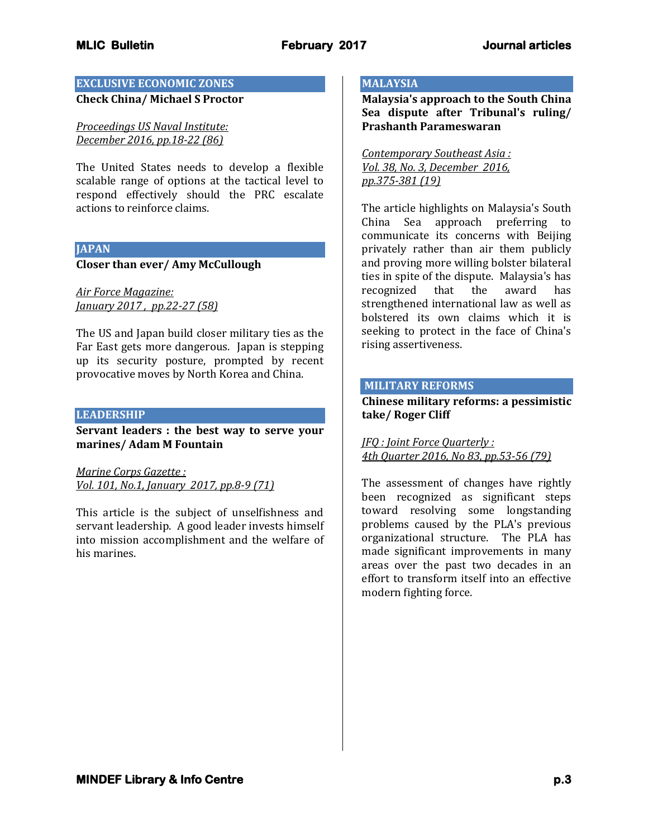# **EXCLUSIVE ECONOMIC ZONES**

**Check China/ Michael S Proctor**

*Proceedings US Naval Institute: December 2016, pp.18-22 (86)*

The United States needs to develop a flexible scalable range of options at the tactical level to respond effectively should the PRC escalate actions to reinforce claims.

## **JAPAN**

## **Closer than ever/ Amy McCullough**

*Air Force Magazine: January 2017 , pp.22-27 (58)*

The US and Japan build closer military ties as the Far East gets more dangerous. Japan is stepping up its security posture, prompted by recent provocative moves by North Korea and China.

## **LEADERSHIP**

**Servant leaders : the best way to serve your marines/ Adam M Fountain**

*Marine Corps Gazette : Vol. 101, No.1, January 2017, pp.8-9 (71)*

This article is the subject of unselfishness and servant leadership. A good leader invests himself into mission accomplishment and the welfare of his marines.

## **MALAYSIA**

**Malaysia's approach to the South China Sea dispute after Tribunal's ruling/ Prashanth Parameswaran**

*Contemporary Southeast Asia : Vol. 38, No. 3, December 2016, pp.375-381 (19)*

The article highlights on Malaysia's South China Sea approach preferring to communicate its concerns with Beijing privately rather than air them publicly and proving more willing bolster bilateral ties in spite of the dispute. Malaysia's has recognized that the award has strengthened international law as well as bolstered its own claims which it is seeking to protect in the face of China's rising assertiveness.

## **MILITARY REFORMS**

**Chinese military reforms: a pessimistic take/ Roger Cliff**

*JFQ : Joint Force Quarterly : 4th Quarter 2016, No 83, pp.53-56 (79)*

The assessment of changes have rightly been recognized as significant steps toward resolving some longstanding problems caused by the PLA's previous organizational structure. The PLA has made significant improvements in many areas over the past two decades in an effort to transform itself into an effective modern fighting force.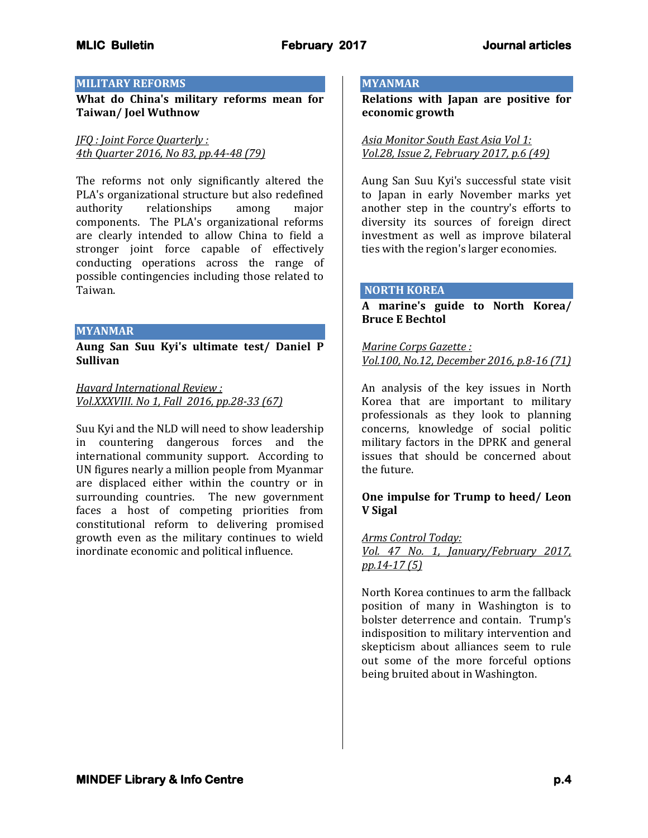### **MILITARY REFORMS**

**What do China's military reforms mean for Taiwan/ Joel Wuthnow**

*JFQ : Joint Force Quarterly : 4th Quarter 2016, No 83, pp.44-48 (79)*

The reforms not only significantly altered the PLA's organizational structure but also redefined authority relationships among major components. The PLA's organizational reforms are clearly intended to allow China to field a stronger joint force capable of effectively conducting operations across the range of possible contingencies including those related to Taiwan.

#### **MYANMAR**

**Aung San Suu Kyi's ultimate test/ Daniel P Sullivan**

*Havard International Review : Vol.XXXVIII. No 1, Fall 2016, pp.28-33 (67)* 

Suu Kyi and the NLD will need to show leadership in countering dangerous forces and the international community support. According to UN figures nearly a million people from Myanmar are displaced either within the country or in surrounding countries. The new government faces a host of competing priorities from constitutional reform to delivering promised growth even as the military continues to wield inordinate economic and political influence.

#### **MYANMAR**

**Relations with Japan are positive for economic growth**

*Asia Monitor South East Asia Vol 1: Vol.28, Issue 2, February 2017, p.6 (49)*

Aung San Suu Kyi's successful state visit to Japan in early November marks yet another step in the country's efforts to diversity its sources of foreign direct investment as well as improve bilateral ties with the region's larger economies.

#### **NORTH KOREA**

**A marine's guide to North Korea/ Bruce E Bechtol**

*Marine Corps Gazette : Vol.100, No.12, December 2016, p.8-16 (71)*

An analysis of the key issues in North Korea that are important to military professionals as they look to planning concerns, knowledge of social politic military factors in the DPRK and general issues that should be concerned about the future.

## **One impulse for Trump to heed/ Leon V Sigal**

### *Arms Control Today:*

*Vol. 47 No. 1, January/February 2017, pp.14-17 (5)*

North Korea continues to arm the fallback position of many in Washington is to bolster deterrence and contain. Trump's indisposition to military intervention and skepticism about alliances seem to rule out some of the more forceful options being bruited about in Washington.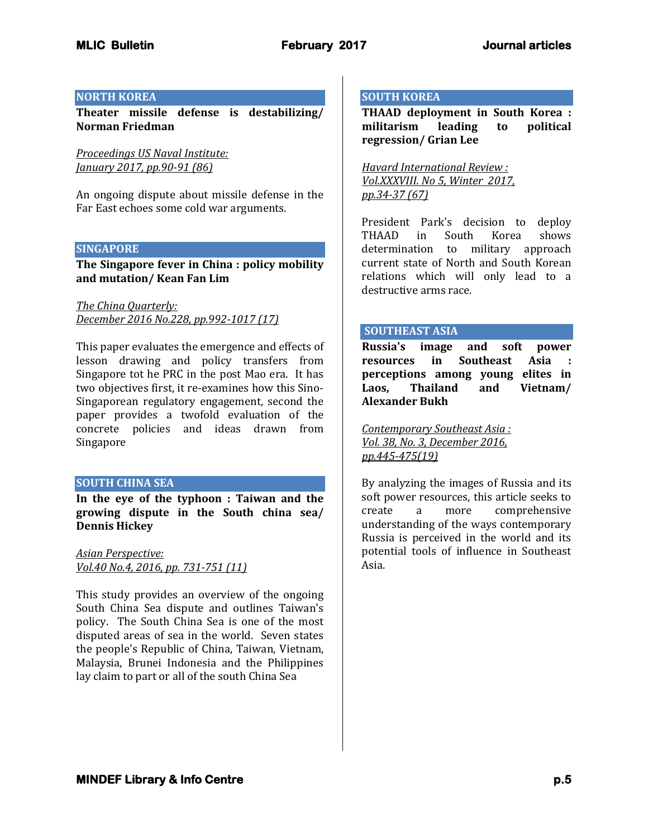## **NORTH KOREA**

**Theater missile defense is destabilizing/ Norman Friedman**

*Proceedings US Naval Institute: January 2017, pp.90-91 (86)*

An ongoing dispute about missile defense in the Far East echoes some cold war arguments.

#### **SINGAPORE**

**The Singapore fever in China : policy mobility and mutation/ Kean Fan Lim**

*The China Quarterly: December 2016 No.228, pp.992-1017 (17)*

This paper evaluates the emergence and effects of lesson drawing and policy transfers from Singapore tot he PRC in the post Mao era. It has two objectives first, it re-examines how this Sino-Singaporean regulatory engagement, second the paper provides a twofold evaluation of the concrete policies and ideas drawn from Singapore

### **SOUTH CHINA SEA**

**In the eye of the typhoon : Taiwan and the growing dispute in the South china sea/ Dennis Hickey**

*Asian Perspective: Vol.40 No.4, 2016, pp. 731-751 (11)* 

This study provides an overview of the ongoing South China Sea dispute and outlines Taiwan's policy. The South China Sea is one of the most disputed areas of sea in the world. Seven states the people's Republic of China, Taiwan, Vietnam, Malaysia, Brunei Indonesia and the Philippines lay claim to part or all of the south China Sea

## **SOUTH KOREA**

**THAAD deployment in South Korea : militarism leading to political regression/ Grian Lee**

*Havard International Review : Vol.XXXVIII. No 5, Winter 2017, pp.34-37 (67)*

President Park's decision to deploy THAAD in South Korea shows determination to military approach current state of North and South Korean relations which will only lead to a destructive arms race.

### **SOUTHEAST ASIA**

**Russia's image and soft power resources in Southeast Asia : perceptions among young elites in Laos, Thailand and Vietnam/ Alexander Bukh**

*Contemporary Southeast Asia : Vol. 38, No. 3, December 2016, pp.445-475(19)*

By analyzing the images of Russia and its soft power resources, this article seeks to create a more comprehensive understanding of the ways contemporary Russia is perceived in the world and its potential tools of influence in Southeast Asia.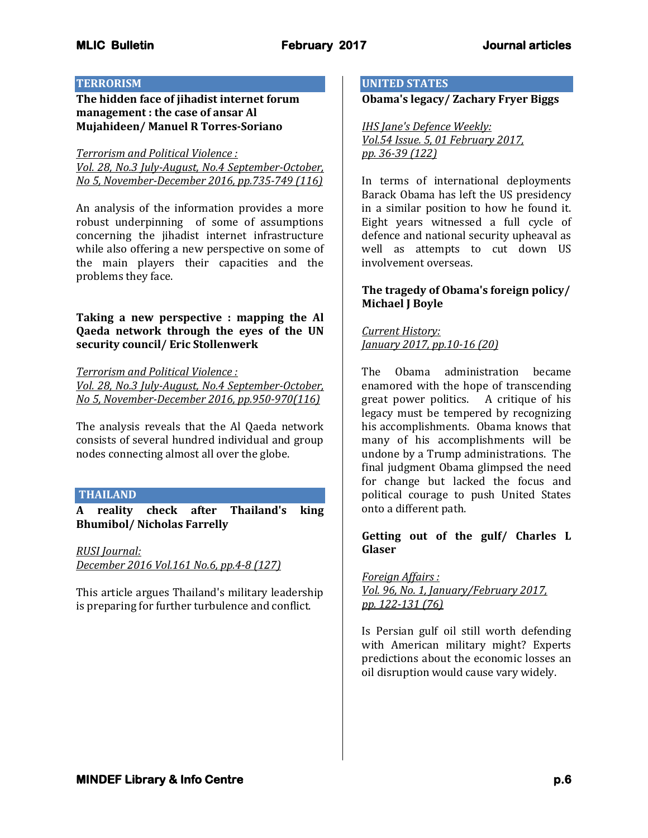## **TERRORISM**

**The hidden face of jihadist internet forum management : the case of ansar Al Mujahideen/ Manuel R Torres-Soriano**

*Terrorism and Political Violence : Vol. 28, No.3 July-August, No.4 September-October, No 5, November-December 2016, pp.735-749 (116)*

An analysis of the information provides a more robust underpinning of some of assumptions concerning the jihadist internet infrastructure while also offering a new perspective on some of the main players their capacities and the problems they face.

**Taking a new perspective : mapping the Al Qaeda network through the eyes of the UN security council/ Eric Stollenwerk**

*Terrorism and Political Violence : Vol. 28, No.3 July-August, No.4 September-October, No 5, November-December 2016, pp.950-970(116)*

The analysis reveals that the Al Qaeda network consists of several hundred individual and group nodes connecting almost all over the globe.

## **THAILAND**

**A reality check after Thailand's king Bhumibol/ Nicholas Farrelly**

*RUSI Journal: December 2016 Vol.161 No.6, pp.4-8 (127)*

This article argues Thailand's military leadership is preparing for further turbulence and conflict.

#### **UNITED STATES**

**Obama's legacy/ Zachary Fryer Biggs** 

*IHS Jane's Defence Weekly: Vol.54 Issue. 5, 01 February 2017, pp. 36-39 (122)*

In terms of international deployments Barack Obama has left the US presidency in a similar position to how he found it. Eight years witnessed a full cycle of defence and national security upheaval as well as attempts to cut down US involvement overseas.

## **The tragedy of Obama's foreign policy/ Michael J Boyle**

*Current History: January 2017, pp.10-16 (20)*

The Obama administration became enamored with the hope of transcending great power politics. A critique of his legacy must be tempered by recognizing his accomplishments. Obama knows that many of his accomplishments will be undone by a Trump administrations. The final judgment Obama glimpsed the need for change but lacked the focus and political courage to push United States onto a different path.

## **Getting out of the gulf/ Charles L Glaser**

*Foreign Affairs : Vol. 96, No. 1, January/February 2017, pp. 122-131 (76)*

Is Persian gulf oil still worth defending with American military might? Experts predictions about the economic losses an oil disruption would cause vary widely.